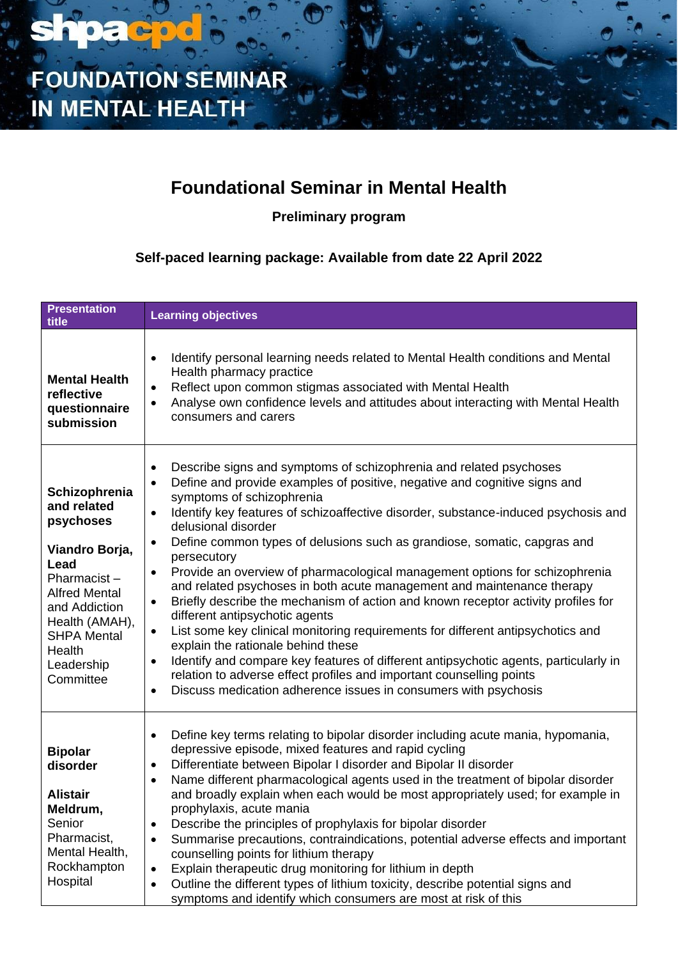

### **Foundational Seminar in Mental Health**

**Preliminary program**

**Self-paced learning package: Available from date 22 April 2022**

| <b>Presentation</b><br>title                                                                                                                                                                             | <b>Learning objectives</b>                                                                                                                                                                                                                                                                                                                                                                                                                                                                                                                                                                                                                                                                                                                                                                                                                                                                                                                                                                                                                                                                                                                            |
|----------------------------------------------------------------------------------------------------------------------------------------------------------------------------------------------------------|-------------------------------------------------------------------------------------------------------------------------------------------------------------------------------------------------------------------------------------------------------------------------------------------------------------------------------------------------------------------------------------------------------------------------------------------------------------------------------------------------------------------------------------------------------------------------------------------------------------------------------------------------------------------------------------------------------------------------------------------------------------------------------------------------------------------------------------------------------------------------------------------------------------------------------------------------------------------------------------------------------------------------------------------------------------------------------------------------------------------------------------------------------|
| <b>Mental Health</b><br>reflective<br>questionnaire<br>submission                                                                                                                                        | Identify personal learning needs related to Mental Health conditions and Mental<br>$\bullet$<br>Health pharmacy practice<br>Reflect upon common stigmas associated with Mental Health<br>$\bullet$<br>Analyse own confidence levels and attitudes about interacting with Mental Health<br>$\bullet$<br>consumers and carers                                                                                                                                                                                                                                                                                                                                                                                                                                                                                                                                                                                                                                                                                                                                                                                                                           |
| Schizophrenia<br>and related<br>psychoses<br>Viandro Borja,<br>Lead<br>Pharmacist-<br><b>Alfred Mental</b><br>and Addiction<br>Health (AMAH),<br><b>SHPA Mental</b><br>Health<br>Leadership<br>Committee | Describe signs and symptoms of schizophrenia and related psychoses<br>$\bullet$<br>Define and provide examples of positive, negative and cognitive signs and<br>$\bullet$<br>symptoms of schizophrenia<br>Identify key features of schizoaffective disorder, substance-induced psychosis and<br>$\bullet$<br>delusional disorder<br>Define common types of delusions such as grandiose, somatic, capgras and<br>$\bullet$<br>persecutory<br>Provide an overview of pharmacological management options for schizophrenia<br>$\bullet$<br>and related psychoses in both acute management and maintenance therapy<br>Briefly describe the mechanism of action and known receptor activity profiles for<br>$\bullet$<br>different antipsychotic agents<br>List some key clinical monitoring requirements for different antipsychotics and<br>$\bullet$<br>explain the rationale behind these<br>Identify and compare key features of different antipsychotic agents, particularly in<br>$\bullet$<br>relation to adverse effect profiles and important counselling points<br>Discuss medication adherence issues in consumers with psychosis<br>$\bullet$ |
| <b>Bipolar</b><br>disorder<br><b>Alistair</b><br>Meldrum,<br>Senior<br>Pharmacist,<br>Mental Health,<br>Rockhampton<br>Hospital                                                                          | Define key terms relating to bipolar disorder including acute mania, hypomania,<br>$\bullet$<br>depressive episode, mixed features and rapid cycling<br>Differentiate between Bipolar I disorder and Bipolar II disorder<br>$\bullet$<br>Name different pharmacological agents used in the treatment of bipolar disorder<br>$\bullet$<br>and broadly explain when each would be most appropriately used; for example in<br>prophylaxis, acute mania<br>Describe the principles of prophylaxis for bipolar disorder<br>$\bullet$<br>Summarise precautions, contraindications, potential adverse effects and important<br>counselling points for lithium therapy<br>Explain therapeutic drug monitoring for lithium in depth<br>$\bullet$<br>Outline the different types of lithium toxicity, describe potential signs and<br>$\bullet$<br>symptoms and identify which consumers are most at risk of this                                                                                                                                                                                                                                               |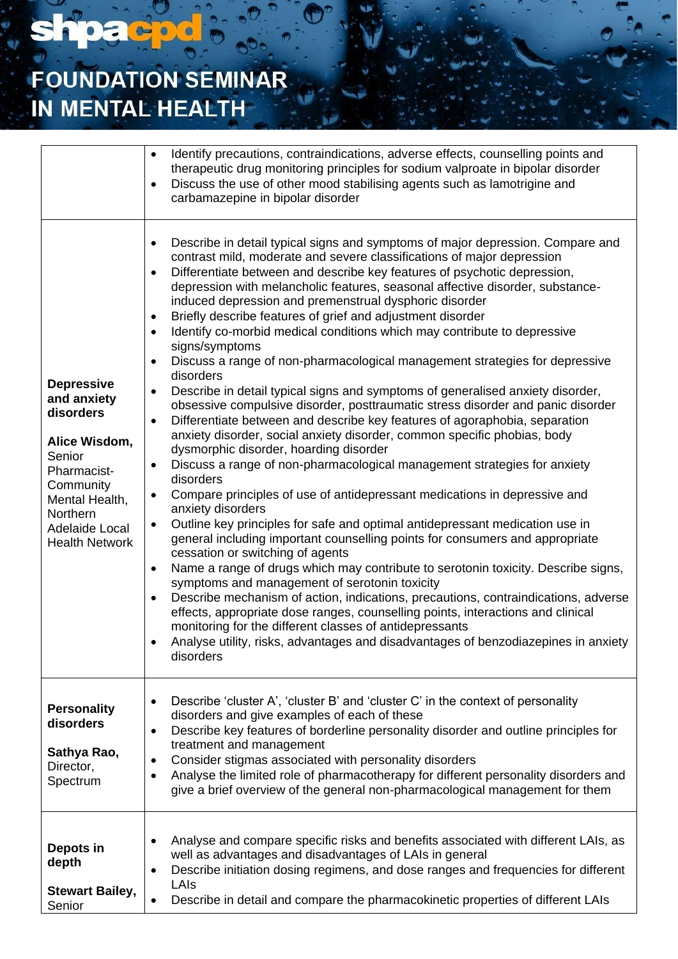## **FOUNDATION SEMINAR** IN MENTAL HEALTH

**shpacpd** 

|                                                                                                                                                                               | Identify precautions, contraindications, adverse effects, counselling points and<br>$\bullet$<br>therapeutic drug monitoring principles for sodium valproate in bipolar disorder<br>Discuss the use of other mood stabilising agents such as lamotrigine and<br>$\bullet$<br>carbamazepine in bipolar disorder                                                                                                                                                                                                                                                                                                                                                                                                                                                                                                                                                                                                                                                                                                                                                                                                                                                                                                                                                                                                                                                                                                                                                                                                                                                                                                                                                                                                                                                                                                                                                                                                                                                                                                                                   |
|-------------------------------------------------------------------------------------------------------------------------------------------------------------------------------|--------------------------------------------------------------------------------------------------------------------------------------------------------------------------------------------------------------------------------------------------------------------------------------------------------------------------------------------------------------------------------------------------------------------------------------------------------------------------------------------------------------------------------------------------------------------------------------------------------------------------------------------------------------------------------------------------------------------------------------------------------------------------------------------------------------------------------------------------------------------------------------------------------------------------------------------------------------------------------------------------------------------------------------------------------------------------------------------------------------------------------------------------------------------------------------------------------------------------------------------------------------------------------------------------------------------------------------------------------------------------------------------------------------------------------------------------------------------------------------------------------------------------------------------------------------------------------------------------------------------------------------------------------------------------------------------------------------------------------------------------------------------------------------------------------------------------------------------------------------------------------------------------------------------------------------------------------------------------------------------------------------------------------------------------|
| <b>Depressive</b><br>and anxiety<br>disorders<br>Alice Wisdom,<br>Senior<br>Pharmacist-<br>Community<br>Mental Health,<br>Northern<br>Adelaide Local<br><b>Health Network</b> | Describe in detail typical signs and symptoms of major depression. Compare and<br>٠<br>contrast mild, moderate and severe classifications of major depression<br>Differentiate between and describe key features of psychotic depression,<br>$\bullet$<br>depression with melancholic features, seasonal affective disorder, substance-<br>induced depression and premenstrual dysphoric disorder<br>Briefly describe features of grief and adjustment disorder<br>$\bullet$<br>Identify co-morbid medical conditions which may contribute to depressive<br>$\bullet$<br>signs/symptoms<br>Discuss a range of non-pharmacological management strategies for depressive<br>$\bullet$<br>disorders<br>Describe in detail typical signs and symptoms of generalised anxiety disorder,<br>$\bullet$<br>obsessive compulsive disorder, posttraumatic stress disorder and panic disorder<br>Differentiate between and describe key features of agoraphobia, separation<br>$\bullet$<br>anxiety disorder, social anxiety disorder, common specific phobias, body<br>dysmorphic disorder, hoarding disorder<br>Discuss a range of non-pharmacological management strategies for anxiety<br>$\bullet$<br>disorders<br>Compare principles of use of antidepressant medications in depressive and<br>$\bullet$<br>anxiety disorders<br>Outline key principles for safe and optimal antidepressant medication use in<br>$\bullet$<br>general including important counselling points for consumers and appropriate<br>cessation or switching of agents<br>Name a range of drugs which may contribute to serotonin toxicity. Describe signs,<br>$\bullet$<br>symptoms and management of serotonin toxicity<br>Describe mechanism of action, indications, precautions, contraindications, adverse<br>effects, appropriate dose ranges, counselling points, interactions and clinical<br>monitoring for the different classes of antidepressants<br>Analyse utility, risks, advantages and disadvantages of benzodiazepines in anxiety<br>$\bullet$<br>disorders |
| <b>Personality</b><br>disorders<br>Sathya Rao,<br>Director,<br>Spectrum                                                                                                       | Describe 'cluster A', 'cluster B' and 'cluster C' in the context of personality<br>$\bullet$<br>disorders and give examples of each of these<br>Describe key features of borderline personality disorder and outline principles for<br>$\bullet$<br>treatment and management<br>Consider stigmas associated with personality disorders<br>$\bullet$<br>Analyse the limited role of pharmacotherapy for different personality disorders and<br>$\bullet$<br>give a brief overview of the general non-pharmacological management for them                                                                                                                                                                                                                                                                                                                                                                                                                                                                                                                                                                                                                                                                                                                                                                                                                                                                                                                                                                                                                                                                                                                                                                                                                                                                                                                                                                                                                                                                                                          |
| Depots in<br>depth<br><b>Stewart Bailey,</b><br>Senior                                                                                                                        | Analyse and compare specific risks and benefits associated with different LAIs, as<br>$\bullet$<br>well as advantages and disadvantages of LAIs in general<br>Describe initiation dosing regimens, and dose ranges and frequencies for different<br>٠<br>LAIs<br>Describe in detail and compare the pharmacokinetic properties of different LAIs<br>$\bullet$                                                                                                                                                                                                                                                                                                                                                                                                                                                                                                                                                                                                                                                                                                                                                                                                                                                                                                                                                                                                                                                                                                                                                                                                                                                                                                                                                                                                                                                                                                                                                                                                                                                                                    |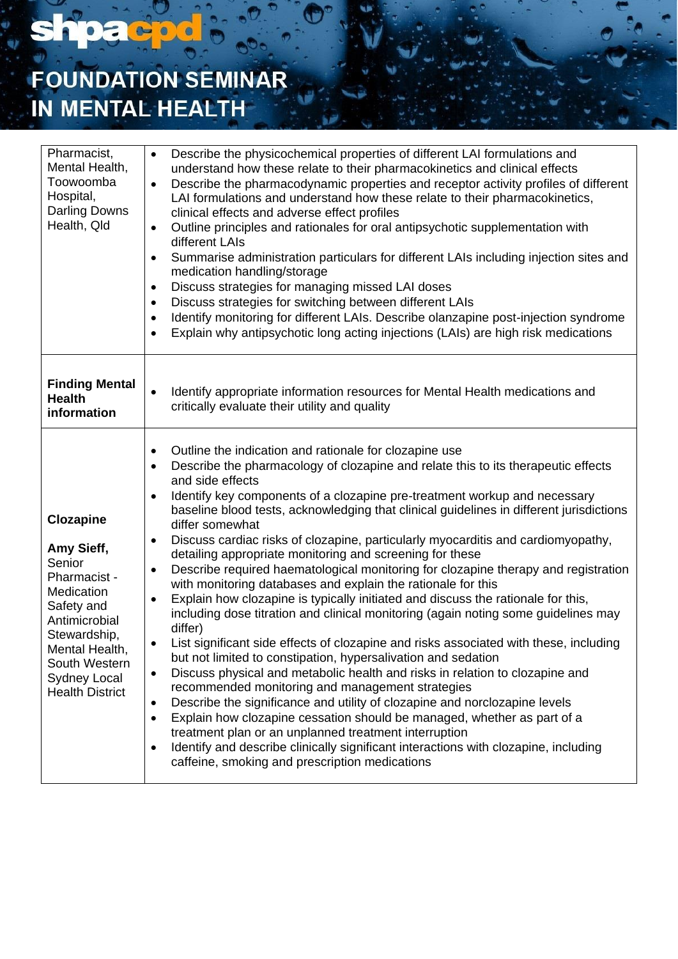# **FOUNDATION SEMINAR** IN MENTAL HEALTH

shpacpd

| Pharmacist,<br>Mental Health,<br>Toowoomba<br>Hospital,<br><b>Darling Downs</b><br>Health, Qld                                                                                                            | Describe the physicochemical properties of different LAI formulations and<br>$\bullet$<br>understand how these relate to their pharmacokinetics and clinical effects<br>Describe the pharmacodynamic properties and receptor activity profiles of different<br>$\bullet$<br>LAI formulations and understand how these relate to their pharmacokinetics,<br>clinical effects and adverse effect profiles<br>Outline principles and rationales for oral antipsychotic supplementation with<br>$\bullet$<br>different LAIs<br>Summarise administration particulars for different LAIs including injection sites and<br>$\bullet$<br>medication handling/storage<br>Discuss strategies for managing missed LAI doses<br>$\bullet$<br>Discuss strategies for switching between different LAIs<br>$\bullet$<br>Identify monitoring for different LAIs. Describe olanzapine post-injection syndrome<br>$\bullet$<br>Explain why antipsychotic long acting injections (LAIs) are high risk medications<br>$\bullet$                                                                                                                                                                                                                                                                                                                                                                                                                                                                                                                                                                                                                           |
|-----------------------------------------------------------------------------------------------------------------------------------------------------------------------------------------------------------|---------------------------------------------------------------------------------------------------------------------------------------------------------------------------------------------------------------------------------------------------------------------------------------------------------------------------------------------------------------------------------------------------------------------------------------------------------------------------------------------------------------------------------------------------------------------------------------------------------------------------------------------------------------------------------------------------------------------------------------------------------------------------------------------------------------------------------------------------------------------------------------------------------------------------------------------------------------------------------------------------------------------------------------------------------------------------------------------------------------------------------------------------------------------------------------------------------------------------------------------------------------------------------------------------------------------------------------------------------------------------------------------------------------------------------------------------------------------------------------------------------------------------------------------------------------------------------------------------------------------------------------|
| <b>Finding Mental</b><br><b>Health</b><br>information                                                                                                                                                     | Identify appropriate information resources for Mental Health medications and<br>$\bullet$<br>critically evaluate their utility and quality                                                                                                                                                                                                                                                                                                                                                                                                                                                                                                                                                                                                                                                                                                                                                                                                                                                                                                                                                                                                                                                                                                                                                                                                                                                                                                                                                                                                                                                                                            |
| <b>Clozapine</b><br>Amy Sieff,<br>Senior<br>Pharmacist -<br>Medication<br>Safety and<br>Antimicrobial<br>Stewardship,<br>Mental Health,<br>South Western<br><b>Sydney Local</b><br><b>Health District</b> | Outline the indication and rationale for clozapine use<br>٠<br>Describe the pharmacology of clozapine and relate this to its therapeutic effects<br>$\bullet$<br>and side effects<br>Identify key components of a clozapine pre-treatment workup and necessary<br>$\bullet$<br>baseline blood tests, acknowledging that clinical guidelines in different jurisdictions<br>differ somewhat<br>Discuss cardiac risks of clozapine, particularly myocarditis and cardiomyopathy,<br>٠<br>detailing appropriate monitoring and screening for these<br>Describe required haematological monitoring for clozapine therapy and registration<br>$\bullet$<br>with monitoring databases and explain the rationale for this<br>Explain how clozapine is typically initiated and discuss the rationale for this,<br>$\bullet$<br>including dose titration and clinical monitoring (again noting some guidelines may<br>differ)<br>List significant side effects of clozapine and risks associated with these, including<br>$\bullet$<br>but not limited to constipation, hypersalivation and sedation<br>Discuss physical and metabolic health and risks in relation to clozapine and<br>$\bullet$<br>recommended monitoring and management strategies<br>Describe the significance and utility of clozapine and norclozapine levels<br>٠<br>Explain how clozapine cessation should be managed, whether as part of a<br>$\bullet$<br>treatment plan or an unplanned treatment interruption<br>Identify and describe clinically significant interactions with clozapine, including<br>$\bullet$<br>caffeine, smoking and prescription medications |